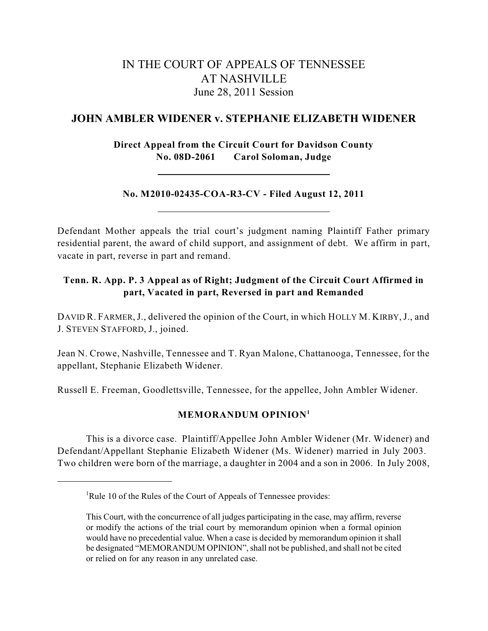# IN THE COURT OF APPEALS OF TENNESSEE AT NASHVILLE June 28, 2011 Session

### **JOHN AMBLER WIDENER v. STEPHANIE ELIZABETH WIDENER**

**Direct Appeal from the Circuit Court for Davidson County No. 08D-2061 Carol Soloman, Judge**

### **No. M2010-02435-COA-R3-CV - Filed August 12, 2011**

Defendant Mother appeals the trial court's judgment naming Plaintiff Father primary residential parent, the award of child support, and assignment of debt. We affirm in part, vacate in part, reverse in part and remand.

# **Tenn. R. App. P. 3 Appeal as of Right; Judgment of the Circuit Court Affirmed in part, Vacated in part, Reversed in part and Remanded**

DAVID R. FARMER,J., delivered the opinion of the Court, in which HOLLY M. KIRBY,J., and J. STEVEN STAFFORD, J., joined.

Jean N. Crowe, Nashville, Tennessee and T. Ryan Malone, Chattanooga, Tennessee, for the appellant, Stephanie Elizabeth Widener.

Russell E. Freeman, Goodlettsville, Tennessee, for the appellee, John Ambler Widener.

## **MEMORANDUM OPINION 1**

This is a divorce case. Plaintiff/Appellee John Ambler Widener (Mr. Widener) and Defendant/Appellant Stephanie Elizabeth Widener (Ms. Widener) married in July 2003. Two children were born of the marriage, a daughter in 2004 and a son in 2006. In July 2008,

<sup>&</sup>lt;sup>1</sup>Rule 10 of the Rules of the Court of Appeals of Tennessee provides:

This Court, with the concurrence of all judges participating in the case, may affirm, reverse or modify the actions of the trial court by memorandum opinion when a formal opinion would have no precedential value. When a case is decided by memorandum opinion it shall be designated "MEMORANDUM OPINION", shall not be published, and shall not be cited or relied on for any reason in any unrelated case.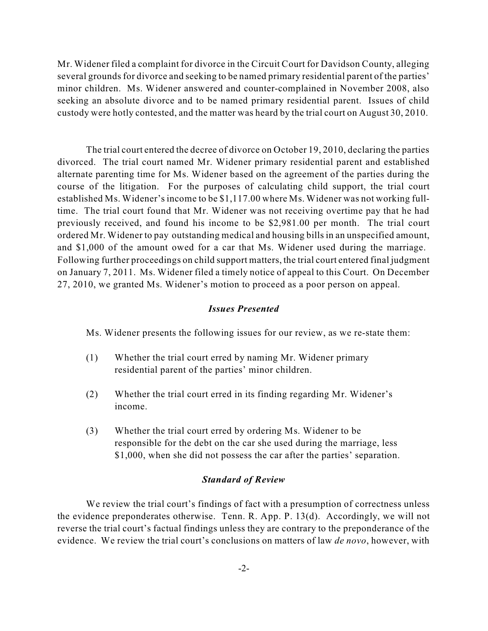Mr. Widener filed a complaint for divorce in the Circuit Court for Davidson County, alleging several grounds for divorce and seeking to be named primary residential parent of the parties' minor children. Ms. Widener answered and counter-complained in November 2008, also seeking an absolute divorce and to be named primary residential parent. Issues of child custody were hotly contested, and the matter was heard by the trial court on August 30, 2010.

The trial court entered the decree of divorce on October 19, 2010, declaring the parties divorced. The trial court named Mr. Widener primary residential parent and established alternate parenting time for Ms. Widener based on the agreement of the parties during the course of the litigation. For the purposes of calculating child support, the trial court established Ms. Widener's income to be \$1,117.00 where Ms. Widener was not working fulltime. The trial court found that Mr. Widener was not receiving overtime pay that he had previously received, and found his income to be \$2,981.00 per month. The trial court ordered Mr. Widener to pay outstanding medical and housing bills in an unspecified amount, and \$1,000 of the amount owed for a car that Ms. Widener used during the marriage. Following further proceedings on child support matters, the trial court entered final judgment on January 7, 2011. Ms. Widener filed a timely notice of appeal to this Court. On December 27, 2010, we granted Ms. Widener's motion to proceed as a poor person on appeal.

### *Issues Presented*

Ms. Widener presents the following issues for our review, as we re-state them:

- (1) Whether the trial court erred by naming Mr. Widener primary residential parent of the parties' minor children.
- (2) Whether the trial court erred in its finding regarding Mr. Widener's income.
- (3) Whether the trial court erred by ordering Ms. Widener to be responsible for the debt on the car she used during the marriage, less \$1,000, when she did not possess the car after the parties' separation.

#### *Standard of Review*

We review the trial court's findings of fact with a presumption of correctness unless the evidence preponderates otherwise. Tenn. R. App. P. 13(d). Accordingly, we will not reverse the trial court's factual findings unless they are contrary to the preponderance of the evidence. We review the trial court's conclusions on matters of law *de novo*, however, with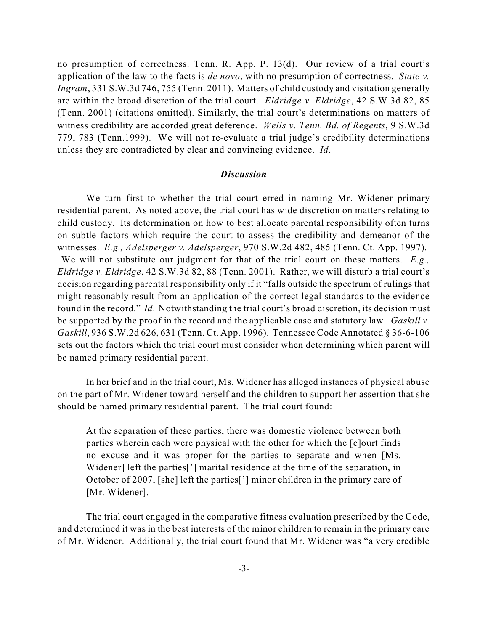no presumption of correctness. Tenn. R. App. P. 13(d). Our review of a trial court's application of the law to the facts is *de novo*, with no presumption of correctness. *State v. Ingram*, 331 S.W.3d 746, 755 (Tenn. 2011). Matters of child custody and visitation generally are within the broad discretion of the trial court. *Eldridge v. Eldridge*, 42 S.W.3d 82, 85 (Tenn. 2001) (citations omitted). Similarly, the trial court's determinations on matters of witness credibility are accorded great deference. *Wells v. Tenn. Bd. of Regents*, 9 S.W.3d 779, 783 (Tenn.1999). We will not re-evaluate a trial judge's credibility determinations unless they are contradicted by clear and convincing evidence. *Id*.

#### *Discussion*

We turn first to whether the trial court erred in naming Mr. Widener primary residential parent. As noted above, the trial court has wide discretion on matters relating to child custody. Its determination on how to best allocate parental responsibility often turns on subtle factors which require the court to assess the credibility and demeanor of the witnesses. *E.g., Adelsperger v. Adelsperger*, 970 S.W.2d 482, 485 (Tenn. Ct. App. 1997). We will not substitute our judgment for that of the trial court on these matters. *E.g., Eldridge v. Eldridge*, 42 S.W.3d 82, 88 (Tenn. 2001). Rather, we will disturb a trial court's decision regarding parental responsibility only if it "falls outside the spectrum of rulings that might reasonably result from an application of the correct legal standards to the evidence found in the record." *Id*. Notwithstanding the trial court's broad discretion, its decision must be supported by the proof in the record and the applicable case and statutory law. *Gaskill v. Gaskill*, 936 S.W.2d 626, 631 (Tenn. Ct. App. 1996). Tennessee Code Annotated § 36-6-106 sets out the factors which the trial court must consider when determining which parent will be named primary residential parent.

In her brief and in the trial court, Ms. Widener has alleged instances of physical abuse on the part of Mr. Widener toward herself and the children to support her assertion that she should be named primary residential parent. The trial court found:

At the separation of these parties, there was domestic violence between both parties wherein each were physical with the other for which the [c]ourt finds no excuse and it was proper for the parties to separate and when [Ms. Widener] left the parties['] marital residence at the time of the separation, in October of 2007, [she] left the parties['] minor children in the primary care of [Mr. Widener].

The trial court engaged in the comparative fitness evaluation prescribed by the Code, and determined it was in the best interests of the minor children to remain in the primary care of Mr. Widener. Additionally, the trial court found that Mr. Widener was "a very credible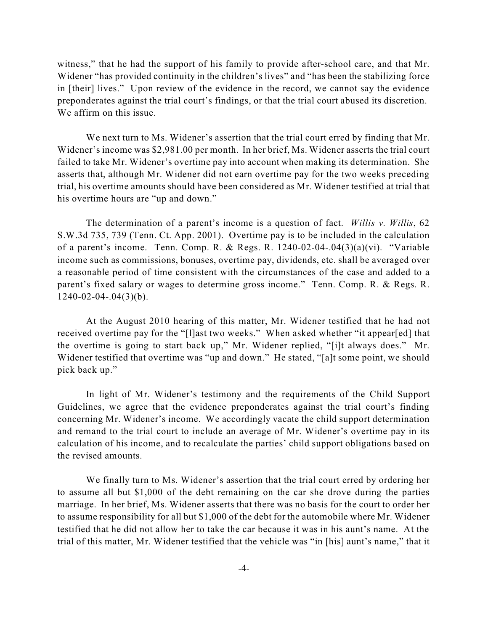witness," that he had the support of his family to provide after-school care, and that Mr. Widener "has provided continuity in the children's lives" and "has been the stabilizing force in [their] lives." Upon review of the evidence in the record, we cannot say the evidence preponderates against the trial court's findings, or that the trial court abused its discretion. We affirm on this issue.

We next turn to Ms. Widener's assertion that the trial court erred by finding that Mr. Widener's income was \$2,981.00 per month. In her brief, Ms. Widener asserts the trial court failed to take Mr. Widener's overtime pay into account when making its determination. She asserts that, although Mr. Widener did not earn overtime pay for the two weeks preceding trial, his overtime amounts should have been considered as Mr. Widener testified at trial that his overtime hours are "up and down."

The determination of a parent's income is a question of fact. *Willis v. Willis*, 62 S.W.3d 735, 739 (Tenn. Ct. App. 2001). Overtime pay is to be included in the calculation of a parent's income. Tenn. Comp. R. & Regs. R. 1240-02-04-.04(3)(a)(vi). "Variable income such as commissions, bonuses, overtime pay, dividends, etc. shall be averaged over a reasonable period of time consistent with the circumstances of the case and added to a parent's fixed salary or wages to determine gross income." Tenn. Comp. R. & Regs. R.  $1240 - 02 - 04 - 04(3)(b)$ .

At the August 2010 hearing of this matter, Mr. Widener testified that he had not received overtime pay for the "[l]ast two weeks." When asked whether "it appear[ed] that the overtime is going to start back up," Mr. Widener replied, "[i]t always does." Mr. Widener testified that overtime was "up and down." He stated, "[a]t some point, we should pick back up."

In light of Mr. Widener's testimony and the requirements of the Child Support Guidelines, we agree that the evidence preponderates against the trial court's finding concerning Mr. Widener's income. We accordingly vacate the child support determination and remand to the trial court to include an average of Mr. Widener's overtime pay in its calculation of his income, and to recalculate the parties' child support obligations based on the revised amounts.

We finally turn to Ms. Widener's assertion that the trial court erred by ordering her to assume all but \$1,000 of the debt remaining on the car she drove during the parties marriage. In her brief, Ms. Widener asserts that there was no basis for the court to order her to assume responsibility for all but \$1,000 of the debt for the automobile where Mr. Widener testified that he did not allow her to take the car because it was in his aunt's name. At the trial of this matter, Mr. Widener testified that the vehicle was "in [his] aunt's name," that it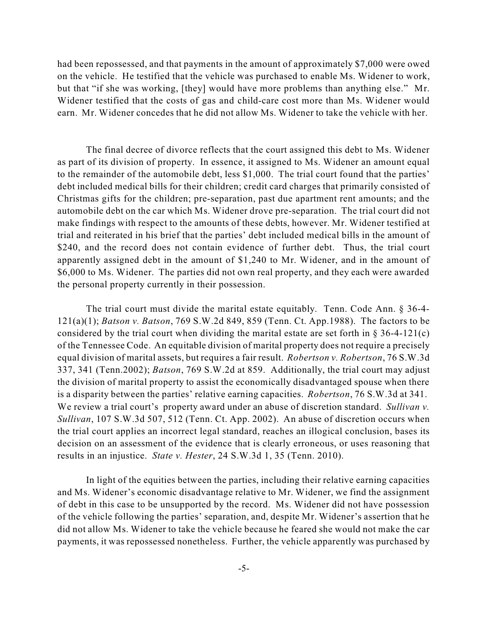had been repossessed, and that payments in the amount of approximately \$7,000 were owed on the vehicle. He testified that the vehicle was purchased to enable Ms. Widener to work, but that "if she was working, [they] would have more problems than anything else." Mr. Widener testified that the costs of gas and child-care cost more than Ms. Widener would earn. Mr. Widener concedes that he did not allow Ms. Widener to take the vehicle with her.

The final decree of divorce reflects that the court assigned this debt to Ms. Widener as part of its division of property. In essence, it assigned to Ms. Widener an amount equal to the remainder of the automobile debt, less \$1,000. The trial court found that the parties' debt included medical bills for their children; credit card charges that primarily consisted of Christmas gifts for the children; pre-separation, past due apartment rent amounts; and the automobile debt on the car which Ms. Widener drove pre-separation. The trial court did not make findings with respect to the amounts of these debts, however. Mr. Widener testified at trial and reiterated in his brief that the parties' debt included medical bills in the amount of \$240, and the record does not contain evidence of further debt. Thus, the trial court apparently assigned debt in the amount of \$1,240 to Mr. Widener, and in the amount of \$6,000 to Ms. Widener. The parties did not own real property, and they each were awarded the personal property currently in their possession.

The trial court must divide the marital estate equitably. Tenn. Code Ann. § 36-4- 121(a)(1); *Batson v. Batson*, 769 S.W.2d 849, 859 (Tenn. Ct. App.1988). The factors to be considered by the trial court when dividing the marital estate are set forth in  $\S$  36-4-121(c) of the Tennessee Code. An equitable division of marital property does not require a precisely equal division of marital assets, but requires a fair result. *Robertson v. Robertson*, 76 S.W.3d 337, 341 (Tenn.2002); *Batson*, 769 S.W.2d at 859. Additionally, the trial court may adjust the division of marital property to assist the economically disadvantaged spouse when there is a disparity between the parties' relative earning capacities. *Robertson*, 76 S.W.3d at 341. We review a trial court's property award under an abuse of discretion standard. *Sullivan v. Sullivan*, 107 S.W.3d 507, 512 (Tenn. Ct. App. 2002). An abuse of discretion occurs when the trial court applies an incorrect legal standard, reaches an illogical conclusion, bases its decision on an assessment of the evidence that is clearly erroneous, or uses reasoning that results in an injustice. *State v. Hester*, 24 S.W.3d 1, 35 (Tenn. 2010).

In light of the equities between the parties, including their relative earning capacities and Ms. Widener's economic disadvantage relative to Mr. Widener, we find the assignment of debt in this case to be unsupported by the record. Ms. Widener did not have possession of the vehicle following the parties' separation, and, despite Mr. Widener's assertion that he did not allow Ms. Widener to take the vehicle because he feared she would not make the car payments, it was repossessed nonetheless. Further, the vehicle apparently was purchased by